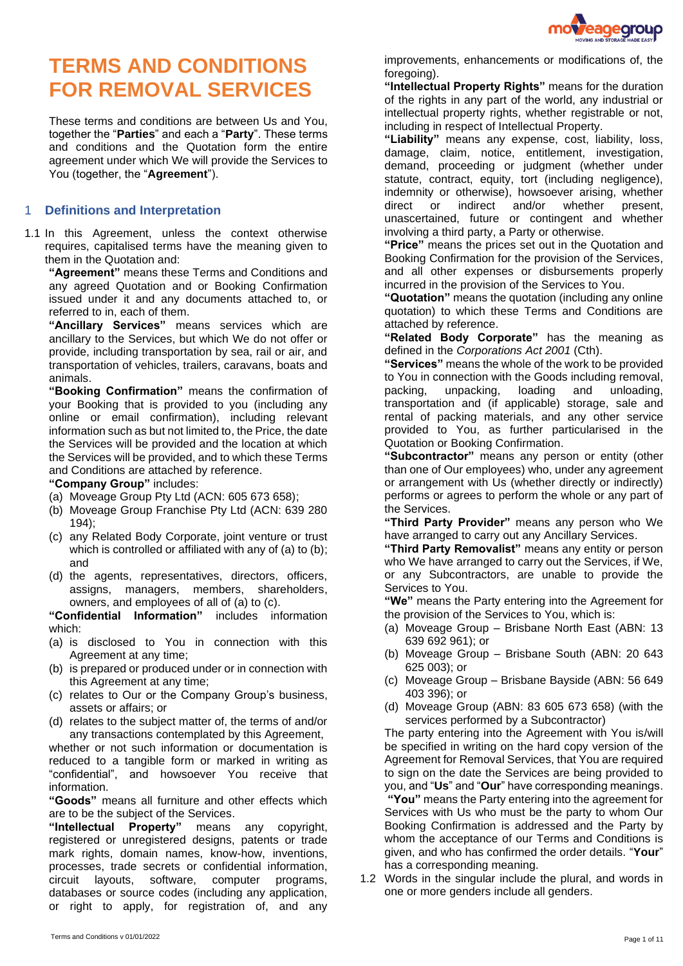

# **TERMS AND CONDITIONS FOR REMOVAL SERVICES**

These terms and conditions are between Us and You, together the "**Parties**" and each a "**Party**". These terms and conditions and the Quotation form the entire agreement under which We will provide the Services to You (together, the "**Agreement**").

#### 1 **Definitions and Interpretation**

1.1 In this Agreement, unless the context otherwise requires, capitalised terms have the meaning given to them in the Quotation and:

**"Agreement"** means these Terms and Conditions and any agreed Quotation and or Booking Confirmation issued under it and any documents attached to, or referred to in, each of them.

**"Ancillary Services"** means services which are ancillary to the Services, but which We do not offer or provide, including transportation by sea, rail or air, and transportation of vehicles, trailers, caravans, boats and animals.

**"Booking Confirmation"** means the confirmation of your Booking that is provided to you (including any online or email confirmation), including relevant information such as but not limited to, the Price, the date the Services will be provided and the location at which the Services will be provided, and to which these Terms and Conditions are attached by reference.

**"Company Group"** includes:

- (a) Moveage Group Pty Ltd (ACN: 605 673 658);
- (b) Moveage Group Franchise Pty Ltd (ACN: 639 280 194);
- (c) any Related Body Corporate, joint venture or trust which is controlled or affiliated with any of (a) to (b); and
- (d) the agents, representatives, directors, officers, assigns, managers, members, shareholders, owners, and employees of all of (a) to (c).

**"Confidential Information"** includes information which:

- (a) is disclosed to You in connection with this Agreement at any time;
- (b) is prepared or produced under or in connection with this Agreement at any time;
- (c) relates to Our or the Company Group's business, assets or affairs; or
- (d) relates to the subject matter of, the terms of and/or any transactions contemplated by this Agreement,

whether or not such information or documentation is reduced to a tangible form or marked in writing as "confidential", and howsoever You receive that information.

**"Goods"** means all furniture and other effects which are to be the subject of the Services.

**"Intellectual Property"** means any copyright, registered or unregistered designs, patents or trade mark rights, domain names, know-how, inventions, processes, trade secrets or confidential information, circuit layouts, software, computer programs, databases or source codes (including any application, or right to apply, for registration of, and any

**"Intellectual Property Rights"** means for the duration of the rights in any part of the world, any industrial or intellectual property rights, whether registrable or not, including in respect of Intellectual Property.

**"Liability"** means any expense, cost, liability, loss, damage, claim, notice, entitlement, investigation, demand, proceeding or judgment (whether under statute, contract, equity, tort (including negligence), indemnity or otherwise), howsoever arising, whether direct or indirect and/or whether present, unascertained, future or contingent and whether involving a third party, a Party or otherwise.

**"Price"** means the prices set out in the Quotation and Booking Confirmation for the provision of the Services, and all other expenses or disbursements properly incurred in the provision of the Services to You.

**"Quotation"** means the quotation (including any online quotation) to which these Terms and Conditions are attached by reference.

**"Related Body Corporate"** has the meaning as defined in the *Corporations Act 2001* (Cth).

**"Services"** means the whole of the work to be provided to You in connection with the Goods including removal, packing, unpacking, loading and unloading, transportation and (if applicable) storage, sale and rental of packing materials, and any other service provided to You, as further particularised in the Quotation or Booking Confirmation.

**"Subcontractor"** means any person or entity (other than one of Our employees) who, under any agreement or arrangement with Us (whether directly or indirectly) performs or agrees to perform the whole or any part of the Services.

**"Third Party Provider"** means any person who We have arranged to carry out any Ancillary Services.

**"Third Party Removalist"** means any entity or person who We have arranged to carry out the Services, if We, or any Subcontractors, are unable to provide the Services to You.

**"We"** means the Party entering into the Agreement for the provision of the Services to You, which is:

- (a) Moveage Group Brisbane North East (ABN: 13 639 692 961); or
- (b) Moveage Group Brisbane South (ABN: 20 643 625 003); or
- (c) Moveage Group Brisbane Bayside (ABN: 56 649 403 396); or
- (d) Moveage Group (ABN: 83 605 673 658) (with the services performed by a Subcontractor)

The party entering into the Agreement with You is/will be specified in writing on the hard copy version of the Agreement for Removal Services, that You are required to sign on the date the Services are being provided to you, and "**Us**" and "**Our**" have corresponding meanings. **"You"** means the Party entering into the agreement for Services with Us who must be the party to whom Our Booking Confirmation is addressed and the Party by whom the acceptance of our Terms and Conditions is given, and who has confirmed the order details. "**Your**" has a corresponding meaning.

1.2 Words in the singular include the plural, and words in one or more genders include all genders.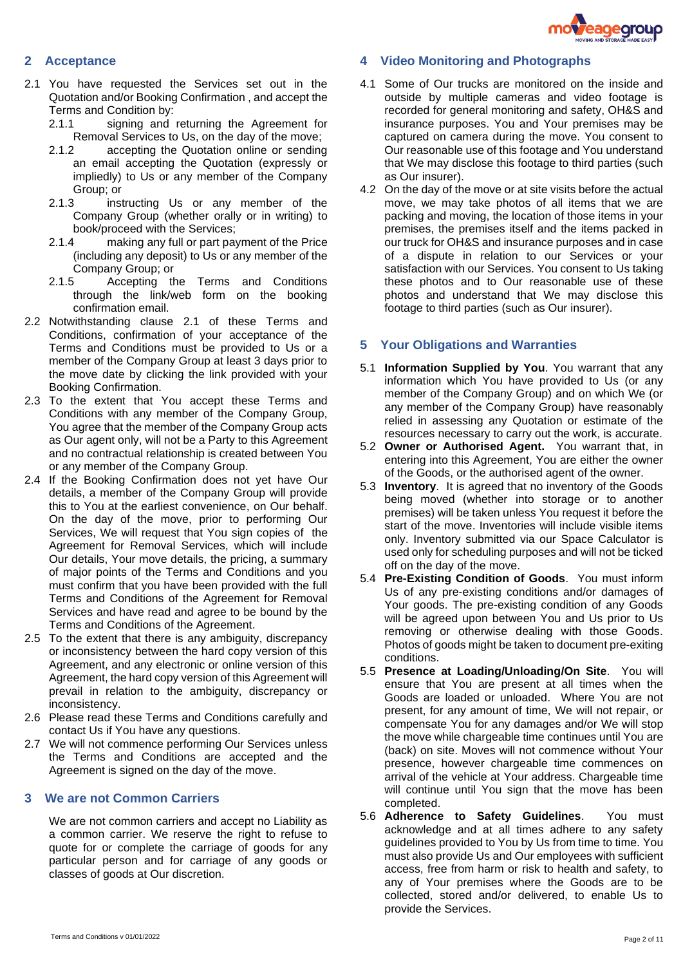

## **2 Acceptance**

- <span id="page-1-0"></span>2.1 You have requested the Services set out in the Quotation and/or Booking Confirmation , and accept the Terms and Condition by:
	- 2.1.1 signing and returning the Agreement for Removal Services to Us, on the day of the move;
	- 2.1.2 accepting the Quotation online or sending an email accepting the Quotation (expressly or impliedly) to Us or any member of the Company Group; or
	- 2.1.3 instructing Us or any member of the Company Group (whether orally or in writing) to book/proceed with the Services;
	- 2.1.4 making any full or part payment of the Price (including any deposit) to Us or any member of the Company Group; or
	- 2.1.5 Accepting the Terms and Conditions through the link/web form on the booking confirmation email.
- 2.2 Notwithstanding clause [2.1](#page-1-0) of these Terms and Conditions, confirmation of your acceptance of the Terms and Conditions must be provided to Us or a member of the Company Group at least 3 days prior to the move date by clicking the link provided with your Booking Confirmation.
- 2.3 To the extent that You accept these Terms and Conditions with any member of the Company Group, You agree that the member of the Company Group acts as Our agent only, will not be a Party to this Agreement and no contractual relationship is created between You or any member of the Company Group.
- 2.4 If the Booking Confirmation does not yet have Our details, a member of the Company Group will provide this to You at the earliest convenience, on Our behalf. On the day of the move, prior to performing Our Services, We will request that You sign copies of the Agreement for Removal Services, which will include Our details, Your move details, the pricing, a summary of major points of the Terms and Conditions and you must confirm that you have been provided with the full Terms and Conditions of the Agreement for Removal Services and have read and agree to be bound by the Terms and Conditions of the Agreement.
- 2.5 To the extent that there is any ambiguity, discrepancy or inconsistency between the hard copy version of this Agreement, and any electronic or online version of this Agreement, the hard copy version of this Agreement will prevail in relation to the ambiguity, discrepancy or inconsistency.
- 2.6 Please read these Terms and Conditions carefully and contact Us if You have any questions.
- 2.7 We will not commence performing Our Services unless the Terms and Conditions are accepted and the Agreement is signed on the day of the move.

#### **3 We are not Common Carriers**

We are not common carriers and accept no Liability as a common carrier. We reserve the right to refuse to quote for or complete the carriage of goods for any particular person and for carriage of any goods or classes of goods at Our discretion.

#### **4 Video Monitoring and Photographs**

- 4.1 Some of Our trucks are monitored on the inside and outside by multiple cameras and video footage is recorded for general monitoring and safety, OH&S and insurance purposes. You and Your premises may be captured on camera during the move. You consent to Our reasonable use of this footage and You understand that We may disclose this footage to third parties (such as Our insurer).
- 4.2 On the day of the move or at site visits before the actual move, we may take photos of all items that we are packing and moving, the location of those items in your premises, the premises itself and the items packed in our truck for OH&S and insurance purposes and in case of a dispute in relation to our Services or your satisfaction with our Services. You consent to Us taking these photos and to Our reasonable use of these photos and understand that We may disclose this footage to third parties (such as Our insurer).

#### **5 Your Obligations and Warranties**

- 5.1 **Information Supplied by You**. You warrant that any information which You have provided to Us (or any member of the Company Group) and on which We (or any member of the Company Group) have reasonably relied in assessing any Quotation or estimate of the resources necessary to carry out the work, is accurate.
- 5.2 **Owner or Authorised Agent.** You warrant that, in entering into this Agreement, You are either the owner of the Goods, or the authorised agent of the owner.
- 5.3 **Inventory**. It is agreed that no inventory of the Goods being moved (whether into storage or to another premises) will be taken unless You request it before the start of the move. Inventories will include visible items only. Inventory submitted via our Space Calculator is used only for scheduling purposes and will not be ticked off on the day of the move.
- 5.4 **Pre-Existing Condition of Goods**. You must inform Us of any pre-existing conditions and/or damages of Your goods. The pre-existing condition of any Goods will be agreed upon between You and Us prior to Us removing or otherwise dealing with those Goods. Photos of goods might be taken to document pre-exiting conditions.
- 5.5 **Presence at Loading/Unloading/On Site**. You will ensure that You are present at all times when the Goods are loaded or unloaded. Where You are not present, for any amount of time, We will not repair, or compensate You for any damages and/or We will stop the move while chargeable time continues until You are (back) on site. Moves will not commence without Your presence, however chargeable time commences on arrival of the vehicle at Your address. Chargeable time will continue until You sign that the move has been completed.
- 5.6 **Adherence to Safety Guidelines**. You must acknowledge and at all times adhere to any safety guidelines provided to You by Us from time to time. You must also provide Us and Our employees with sufficient access, free from harm or risk to health and safety, to any of Your premises where the Goods are to be collected, stored and/or delivered, to enable Us to provide the Services.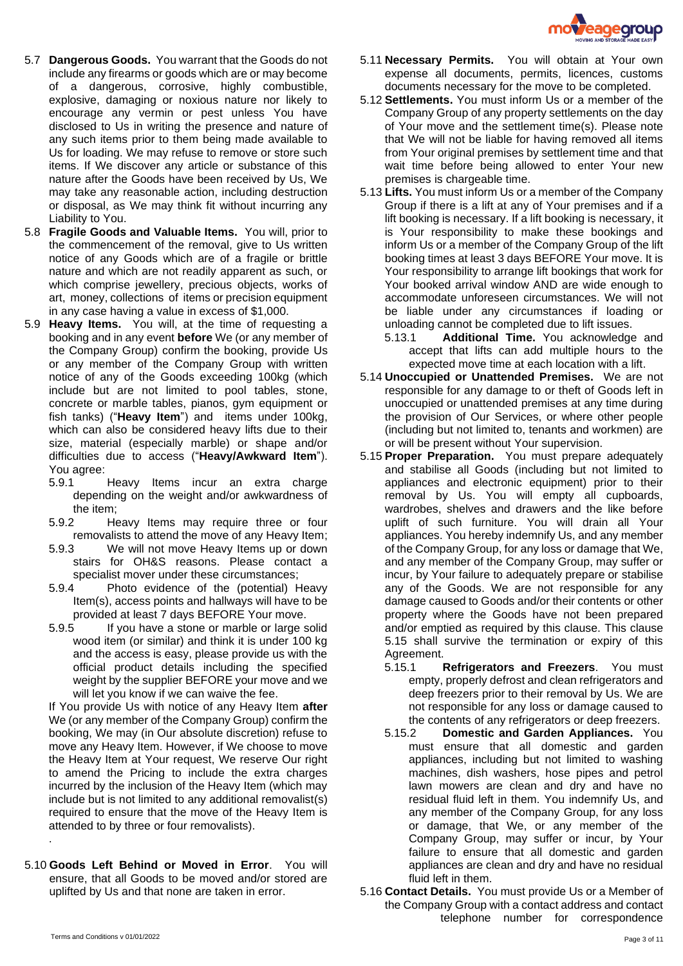

- 5.7 **Dangerous Goods.** You warrant that the Goods do not include any firearms or goods which are or may become of a dangerous, corrosive, highly combustible, explosive, damaging or noxious nature nor likely to encourage any vermin or pest unless You have disclosed to Us in writing the presence and nature of any such items prior to them being made available to Us for loading. We may refuse to remove or store such items. If We discover any article or substance of this nature after the Goods have been received by Us, We may take any reasonable action, including destruction or disposal, as We may think fit without incurring any Liability to You.
- 5.8 **Fragile Goods and Valuable Items.** You will, prior to the commencement of the removal, give to Us written notice of any Goods which are of a fragile or brittle nature and which are not readily apparent as such, or which comprise jewellery, precious objects, works of art, money, collections of items or precision equipment in any case having a value in excess of \$1,000.
- 5.9 **Heavy Items.** You will, at the time of requesting a booking and in any event **before** We (or any member of the Company Group) confirm the booking, provide Us or any member of the Company Group with written notice of any of the Goods exceeding 100kg (which include but are not limited to pool tables, stone, concrete or marble tables, pianos, gym equipment or fish tanks) ("**Heavy Item**") and items under 100kg, which can also be considered heavy lifts due to their size, material (especially marble) or shape and/or difficulties due to access ("**Heavy/Awkward Item**"). You agree:
	- 5.9.1 Heavy Items incur an extra charge depending on the weight and/or awkwardness of the item;
	- 5.9.2 Heavy Items may require three or four removalists to attend the move of any Heavy Item;
	- 5.9.3 We will not move Heavy Items up or down stairs for OH&S reasons. Please contact a specialist mover under these circumstances;
	- 5.9.4 Photo evidence of the (potential) Heavy Item(s), access points and hallways will have to be provided at least 7 days BEFORE Your move.
	- 5.9.5 If you have a stone or marble or large solid wood item (or similar) and think it is under 100 kg and the access is easy, please provide us with the official product details including the specified weight by the supplier BEFORE your move and we will let you know if we can waive the fee.

If You provide Us with notice of any Heavy Item **after** We (or any member of the Company Group) confirm the booking, We may (in Our absolute discretion) refuse to move any Heavy Item. However, if We choose to move the Heavy Item at Your request, We reserve Our right to amend the Pricing to include the extra charges incurred by the inclusion of the Heavy Item (which may include but is not limited to any additional removalist(s) required to ensure that the move of the Heavy Item is attended to by three or four removalists).

5.10 **Goods Left Behind or Moved in Error**. You will ensure, that all Goods to be moved and/or stored are uplifted by Us and that none are taken in error.

- 5.11 **Necessary Permits.** You will obtain at Your own expense all documents, permits, licences, customs documents necessary for the move to be completed.
- 5.12 **Settlements.** You must inform Us or a member of the Company Group of any property settlements on the day of Your move and the settlement time(s). Please note that We will not be liable for having removed all items from Your original premises by settlement time and that wait time before being allowed to enter Your new premises is chargeable time.
- 5.13 **Lifts.** You must inform Us or a member of the Company Group if there is a lift at any of Your premises and if a lift booking is necessary. If a lift booking is necessary, it is Your responsibility to make these bookings and inform Us or a member of the Company Group of the lift booking times at least 3 days BEFORE Your move. It is Your responsibility to arrange lift bookings that work for Your booked arrival window AND are wide enough to accommodate unforeseen circumstances. We will not be liable under any circumstances if loading or unloading cannot be completed due to lift issues.
	- 5.13.1 **Additional Time.** You acknowledge and accept that lifts can add multiple hours to the expected move time at each location with a lift.
- 5.14 **Unoccupied or Unattended Premises.** We are not responsible for any damage to or theft of Goods left in unoccupied or unattended premises at any time during the provision of Our Services, or where other people (including but not limited to, tenants and workmen) are or will be present without Your supervision.
- <span id="page-2-0"></span>5.15 **Proper Preparation.** You must prepare adequately and stabilise all Goods (including but not limited to appliances and electronic equipment) prior to their removal by Us. You will empty all cupboards, wardrobes, shelves and drawers and the like before uplift of such furniture. You will drain all Your appliances. You hereby indemnify Us, and any member of the Company Group, for any loss or damage that We, and any member of the Company Group, may suffer or incur, by Your failure to adequately prepare or stabilise any of the Goods. We are not responsible for any damage caused to Goods and/or their contents or other property where the Goods have not been prepared and/or emptied as required by this clause. This clause [5.15](#page-2-0) shall survive the termination or expiry of this Agreement.
	- 5.15.1 **Refrigerators and Freezers**. You must empty, properly defrost and clean refrigerators and deep freezers prior to their removal by Us. We are not responsible for any loss or damage caused to the contents of any refrigerators or deep freezers.
	- 5.15.2 **Domestic and Garden Appliances.** You must ensure that all domestic and garden appliances, including but not limited to washing machines, dish washers, hose pipes and petrol lawn mowers are clean and dry and have no residual fluid left in them. You indemnify Us, and any member of the Company Group, for any loss or damage, that We, or any member of the Company Group, may suffer or incur, by Your failure to ensure that all domestic and garden appliances are clean and dry and have no residual fluid left in them.
- 5.16 **Contact Details.** You must provide Us or a Member of the Company Group with a contact address and contact telephone number for correspondence

.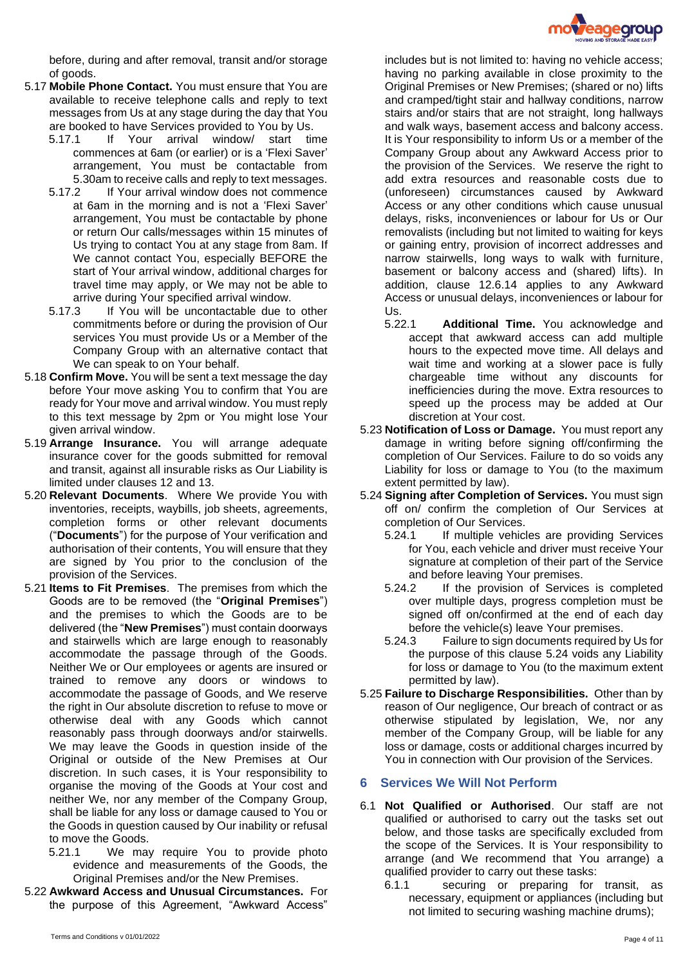

before, during and after removal, transit and/or storage of goods.

- 5.17 **Mobile Phone Contact.** You must ensure that You are available to receive telephone calls and reply to text messages from Us at any stage during the day that You are booked to have Services provided to You by Us.
	- 5.17.1 If Your arrival window/ start time commences at 6am (or earlier) or is a 'Flexi Saver' arrangement, You must be contactable from 5.30am to receive calls and reply to text messages.
	- 5.17.2 If Your arrival window does not commence at 6am in the morning and is not a 'Flexi Saver' arrangement, You must be contactable by phone or return Our calls/messages within 15 minutes of Us trying to contact You at any stage from 8am. If We cannot contact You, especially BEFORE the start of Your arrival window, additional charges for travel time may apply, or We may not be able to arrive during Your specified arrival window.
	- 5.17.3 If You will be uncontactable due to other commitments before or during the provision of Our services You must provide Us or a Member of the Company Group with an alternative contact that We can speak to on Your behalf.
- 5.18 **Confirm Move.** You will be sent a text message the day before Your move asking You to confirm that You are ready for Your move and arrival window. You must reply to this text message by 2pm or You might lose Your given arrival window.
- 5.19 **Arrange Insurance.** You will arrange adequate insurance cover for the goods submitted for removal and transit, against all insurable risks as Our Liability is limited under clauses [12](#page-7-0) and 13.
- 5.20 **Relevant Documents**. Where We provide You with inventories, receipts, waybills, job sheets, agreements, completion forms or other relevant documents ("**Documents**") for the purpose of Your verification and authorisation of their contents, You will ensure that they are signed by You prior to the conclusion of the provision of the Services.
- 5.21 **Items to Fit Premises**. The premises from which the Goods are to be removed (the "**Original Premises**") and the premises to which the Goods are to be delivered (the "**New Premises**") must contain doorways and stairwells which are large enough to reasonably accommodate the passage through of the Goods. Neither We or Our employees or agents are insured or trained to remove any doors or windows to accommodate the passage of Goods, and We reserve the right in Our absolute discretion to refuse to move or otherwise deal with any Goods which cannot reasonably pass through doorways and/or stairwells. We may leave the Goods in question inside of the Original or outside of the New Premises at Our discretion. In such cases, it is Your responsibility to organise the moving of the Goods at Your cost and neither We, nor any member of the Company Group, shall be liable for any loss or damage caused to You or the Goods in question caused by Our inability or refusal to move the Goods.
	- 5.21.1 We may require You to provide photo evidence and measurements of the Goods, the Original Premises and/or the New Premises.
- <span id="page-3-1"></span>5.22 **Awkward Access and Unusual Circumstances.** For the purpose of this Agreement, "Awkward Access"

includes but is not limited to: having no vehicle access; having no parking available in close proximity to the Original Premises or New Premises; (shared or no) lifts and cramped/tight stair and hallway conditions, narrow stairs and/or stairs that are not straight, long hallways and walk ways, basement access and balcony access. It is Your responsibility to inform Us or a member of the Company Group about any Awkward Access prior to the provision of the Services. We reserve the right to add extra resources and reasonable costs due to (unforeseen) circumstances caused by Awkward Access or any other conditions which cause unusual delays, risks, inconveniences or labour for Us or Our removalists (including but not limited to waiting for keys or gaining entry, provision of incorrect addresses and narrow stairwells, long ways to walk with furniture, basement or balcony access and (shared) lifts). In addition, clause [12.6.14](#page-9-0) applies to any Awkward Access or unusual delays, inconveniences or labour for Us.

- 5.22.1 **Additional Time.** You acknowledge and accept that awkward access can add multiple hours to the expected move time. All delays and wait time and working at a slower pace is fully chargeable time without any discounts for inefficiencies during the move. Extra resources to speed up the process may be added at Our discretion at Your cost.
- 5.23 **Notification of Loss or Damage.** You must report any damage in writing before signing off/confirming the completion of Our Services. Failure to do so voids any Liability for loss or damage to You (to the maximum extent permitted by law).
- <span id="page-3-0"></span>5.24 **Signing after Completion of Services.** You must sign off on/ confirm the completion of Our Services at completion of Our Services.
	- 5.24.1 If multiple vehicles are providing Services for You, each vehicle and driver must receive Your signature at completion of their part of the Service and before leaving Your premises.
	- 5.24.2 If the provision of Services is completed over multiple days, progress completion must be signed off on/confirmed at the end of each day before the vehicle(s) leave Your premises.
	- 5.24.3 Failure to sign documents required by Us for the purpose of this clause [5.24](#page-3-0) voids any Liability for loss or damage to You (to the maximum extent permitted by law).
- 5.25 **Failure to Discharge Responsibilities.** Other than by reason of Our negligence, Our breach of contract or as otherwise stipulated by legislation, We, nor any member of the Company Group, will be liable for any loss or damage, costs or additional charges incurred by You in connection with Our provision of the Services.

# **6 Services We Will Not Perform**

- 6.1 **Not Qualified or Authorised**. Our staff are not qualified or authorised to carry out the tasks set out below, and those tasks are specifically excluded from the scope of the Services. It is Your responsibility to arrange (and We recommend that You arrange) a qualified provider to carry out these tasks:
	- 6.1.1 securing or preparing for transit, as necessary, equipment or appliances (including but not limited to securing washing machine drums);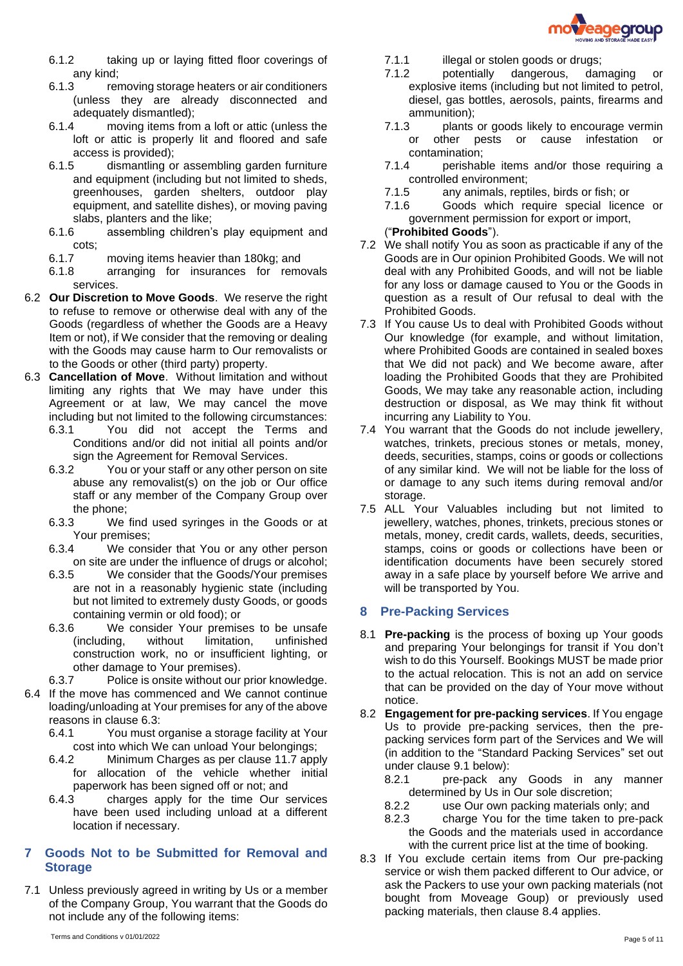

- 6.1.2 taking up or laying fitted floor coverings of any kind;
- 6.1.3 removing storage heaters or air conditioners (unless they are already disconnected and adequately dismantled);
- 6.1.4 moving items from a loft or attic (unless the loft or attic is properly lit and floored and safe access is provided);
- 6.1.5 dismantling or assembling garden furniture and equipment (including but not limited to sheds, greenhouses, garden shelters, outdoor play equipment, and satellite dishes), or moving paving slabs, planters and the like;
- 6.1.6 assembling children's play equipment and cots;
- 6.1.7 moving items heavier than 180kg; and
- 6.1.8 arranging for insurances for removals services.
- 6.2 **Our Discretion to Move Goods**. We reserve the right to refuse to remove or otherwise deal with any of the Goods (regardless of whether the Goods are a Heavy Item or not), if We consider that the removing or dealing with the Goods may cause harm to Our removalists or to the Goods or other (third party) property.
- <span id="page-4-0"></span>6.3 **Cancellation of Move**. Without limitation and without limiting any rights that We may have under this Agreement or at law, We may cancel the move including but not limited to the following circumstances:
	- 6.3.1 You did not accept the Terms and Conditions and/or did not initial all points and/or sign the Agreement for Removal Services.
	- 6.3.2 You or your staff or any other person on site abuse any removalist(s) on the job or Our office staff or any member of the Company Group over the phone;
	- 6.3.3 We find used syringes in the Goods or at Your premises;
	- 6.3.4 We consider that You or any other person on site are under the influence of drugs or alcohol;
	- 6.3.5 We consider that the Goods/Your premises are not in a reasonably hygienic state (including but not limited to extremely dusty Goods, or goods containing vermin or old food); or
	- 6.3.6 We consider Your premises to be unsafe (including, without limitation, unfinished construction work, no or insufficient lighting, or other damage to Your premises).
	- 6.3.7 Police is onsite without our prior knowledge.
- 6.4 If the move has commenced and We cannot continue loading/unloading at Your premises for any of the above reasons in clause [6.3:](#page-4-0)
	- 6.4.1 You must organise a storage facility at Your cost into which We can unload Your belongings;
	- 6.4.2 Minimum Charges as per clause [11.7](#page-6-0) apply for allocation of the vehicle whether initial paperwork has been signed off or not; and
	- 6.4.3 charges apply for the time Our services have been used including unload at a different location if necessary.

# **7 Goods Not to be Submitted for Removal and Storage**

7.1 Unless previously agreed in writing by Us or a member of the Company Group, You warrant that the Goods do not include any of the following items:

- 7.1.1 illegal or stolen goods or drugs;
- 7.1.2 potentially dangerous, damaging or explosive items (including but not limited to petrol, diesel, gas bottles, aerosols, paints, firearms and ammunition);
- 7.1.3 plants or goods likely to encourage vermin or other pests or cause infestation contamination;
- 7.1.4 perishable items and/or those requiring a controlled environment;
- 7.1.5 any animals, reptiles, birds or fish; or
- 7.1.6 Goods which require special licence or government permission for export or import, ("**Prohibited Goods**").
- 7.2 We shall notify You as soon as practicable if any of the Goods are in Our opinion Prohibited Goods. We will not deal with any Prohibited Goods, and will not be liable for any loss or damage caused to You or the Goods in question as a result of Our refusal to deal with the
- Prohibited Goods. 7.3 If You cause Us to deal with Prohibited Goods without Our knowledge (for example, and without limitation, where Prohibited Goods are contained in sealed boxes that We did not pack) and We become aware, after loading the Prohibited Goods that they are Prohibited Goods, We may take any reasonable action, including destruction or disposal, as We may think fit without incurring any Liability to You.
- 7.4 You warrant that the Goods do not include jewellery, watches, trinkets, precious stones or metals, money, deeds, securities, stamps, coins or goods or collections of any similar kind. We will not be liable for the loss of or damage to any such items during removal and/or storage.
- 7.5 ALL Your Valuables including but not limited to jewellery, watches, phones, trinkets, precious stones or metals, money, credit cards, wallets, deeds, securities, stamps, coins or goods or collections have been or identification documents have been securely stored away in a safe place by yourself before We arrive and will be transported by You.

# **8 Pre-Packing Services**

- 8.1 **Pre-packing** is the process of boxing up Your goods and preparing Your belongings for transit if You don't wish to do this Yourself. Bookings MUST be made prior to the actual relocation. This is not an add on service that can be provided on the day of Your move without notice.
- 8.2 **Engagement for pre-packing services**. If You engage Us to provide pre-packing services, then the prepacking services form part of the Services and We will (in addition to the "Standard Packing Services" set out under clause [9.1](#page-5-0) below):
	- 8.2.1 pre-pack any Goods in any manner determined by Us in Our sole discretion;
	- 8.2.2 use Our own packing materials only; and
	- 8.2.3 charge You for the time taken to pre-pack the Goods and the materials used in accordance with the current price list at the time of booking.
- 8.3 If You exclude certain items from Our pre-packing service or wish them packed different to Our advice, or ask the Packers to use your own packing materials (not bought from Moveage Goup) or previously used packing materials, then clause [8.4](#page-5-1) applies.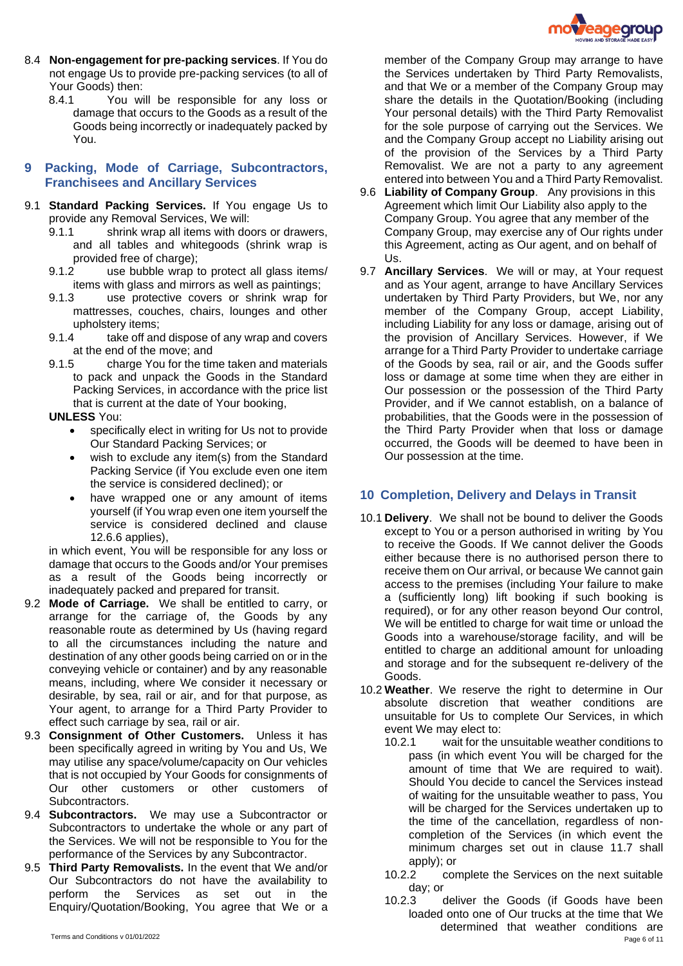

- <span id="page-5-1"></span>8.4 **Non-engagement for pre-packing services**. If You do not engage Us to provide pre-packing services (to all of Your Goods) then:
	- 8.4.1 You will be responsible for any loss or damage that occurs to the Goods as a result of the Goods being incorrectly or inadequately packed by You.

# **9 Packing, Mode of Carriage, Subcontractors, Franchisees and Ancillary Services**

- <span id="page-5-0"></span>9.1 **Standard Packing Services.** If You engage Us to provide any Removal Services, We will:
	- 9.1.1 shrink wrap all items with doors or drawers, and all tables and whitegoods (shrink wrap is provided free of charge);
	- 9.1.2 use bubble wrap to protect all glass items/ items with glass and mirrors as well as paintings;
	- 9.1.3 use protective covers or shrink wrap for mattresses, couches, chairs, lounges and other upholstery items;
	- 9.1.4 take off and dispose of any wrap and covers at the end of the move; and
	- 9.1.5 charge You for the time taken and materials to pack and unpack the Goods in the Standard Packing Services, in accordance with the price list that is current at the date of Your booking,

#### **UNLESS** You:

- specifically elect in writing for Us not to provide Our Standard Packing Services; or
- wish to exclude any item(s) from the Standard Packing Service (if You exclude even one item the service is considered declined); or
- have wrapped one or any amount of items yourself (if You wrap even one item yourself the service is considered declined and clause [12.6.6](#page-8-0) applies),

in which event, You will be responsible for any loss or damage that occurs to the Goods and/or Your premises as a result of the Goods being incorrectly or inadequately packed and prepared for transit.

- 9.2 **Mode of Carriage.** We shall be entitled to carry, or arrange for the carriage of, the Goods by any reasonable route as determined by Us (having regard to all the circumstances including the nature and destination of any other goods being carried on or in the conveying vehicle or container) and by any reasonable means, including, where We consider it necessary or desirable, by sea, rail or air, and for that purpose, as Your agent, to arrange for a Third Party Provider to effect such carriage by sea, rail or air.
- 9.3 **Consignment of Other Customers.** Unless it has been specifically agreed in writing by You and Us, We may utilise any space/volume/capacity on Our vehicles that is not occupied by Your Goods for consignments of Our other customers or other customers Subcontractors.
- 9.4 **Subcontractors.** We may use a Subcontractor or Subcontractors to undertake the whole or any part of the Services. We will not be responsible to You for the performance of the Services by any Subcontractor.
- 9.5 **Third Party Removalists.** In the event that We and/or Our Subcontractors do not have the availability to perform the Services as set out in the Enquiry/Quotation/Booking, You agree that We or a

member of the Company Group may arrange to have the Services undertaken by Third Party Removalists, and that We or a member of the Company Group may share the details in the Quotation/Booking (including Your personal details) with the Third Party Removalist for the sole purpose of carrying out the Services. We and the Company Group accept no Liability arising out of the provision of the Services by a Third Party Removalist. We are not a party to any agreement entered into between You and a Third Party Removalist.

- 9.6 **Liability of Company Group**. Any provisions in this Agreement which limit Our Liability also apply to the Company Group. You agree that any member of the Company Group, may exercise any of Our rights under this Agreement, acting as Our agent, and on behalf of  $Us$
- 9.7 **Ancillary Services**. We will or may, at Your request and as Your agent, arrange to have Ancillary Services undertaken by Third Party Providers, but We, nor any member of the Company Group, accept Liability, including Liability for any loss or damage, arising out of the provision of Ancillary Services. However, if We arrange for a Third Party Provider to undertake carriage of the Goods by sea, rail or air, and the Goods suffer loss or damage at some time when they are either in Our possession or the possession of the Third Party Provider, and if We cannot establish, on a balance of probabilities, that the Goods were in the possession of the Third Party Provider when that loss or damage occurred, the Goods will be deemed to have been in Our possession at the time.

#### **10 Completion, Delivery and Delays in Transit**

- 10.1 **Delivery**. We shall not be bound to deliver the Goods except to You or a person authorised in writing by You to receive the Goods. If We cannot deliver the Goods either because there is no authorised person there to receive them on Our arrival, or because We cannot gain access to the premises (including Your failure to make a (sufficiently long) lift booking if such booking is required), or for any other reason beyond Our control, We will be entitled to charge for wait time or unload the Goods into a warehouse/storage facility, and will be entitled to charge an additional amount for unloading and storage and for the subsequent re-delivery of the Goods.
- 10.2 **Weather**. We reserve the right to determine in Our absolute discretion that weather conditions are unsuitable for Us to complete Our Services, in which event We may elect to:
	- 10.2.1 wait for the unsuitable weather conditions to pass (in which event You will be charged for the amount of time that We are required to wait). Should You decide to cancel the Services instead of waiting for the unsuitable weather to pass, You will be charged for the Services undertaken up to the time of the cancellation, regardless of noncompletion of the Services (in which event the minimum charges set out in clause [11.7](#page-6-0) shall apply); or
	- 10.2.2 complete the Services on the next suitable day; or
- Page 6 of 11 Page 6 of 11 10.2.3 deliver the Goods (if Goods have been loaded onto one of Our trucks at the time that We determined that weather conditions are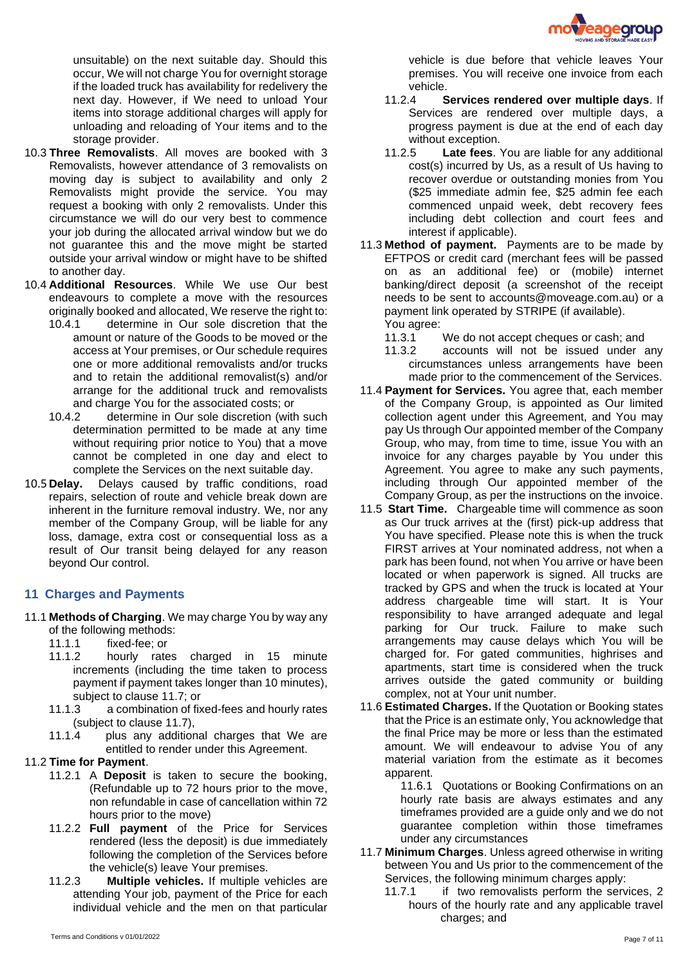

unsuitable) on the next suitable day. Should this occur, We will not charge You for overnight storage if the loaded truck has availability for redelivery the next day. However, if We need to unload Your items into storage additional charges will apply for unloading and reloading of Your items and to the storage provider.

- 10.3 **Three Removalists**. All moves are booked with 3 Removalists, however attendance of 3 removalists on moving day is subject to availability and only 2 Removalists might provide the service. You may request a booking with only 2 removalists. Under this circumstance we will do our very best to commence your job during the allocated arrival window but we do not guarantee this and the move might be started outside your arrival window or might have to be shifted to another day.
- 10.4 **Additional Resources**. While We use Our best endeavours to complete a move with the resources originally booked and allocated, We reserve the right to:
	- 10.4.1 determine in Our sole discretion that the amount or nature of the Goods to be moved or the access at Your premises, or Our schedule requires one or more additional removalists and/or trucks and to retain the additional removalist(s) and/or arrange for the additional truck and removalists and charge You for the associated costs; or
	- 10.4.2 determine in Our sole discretion (with such determination permitted to be made at any time without requiring prior notice to You) that a move cannot be completed in one day and elect to complete the Services on the next suitable day.
- 10.5 **Delay.** Delays caused by traffic conditions, road repairs, selection of route and vehicle break down are inherent in the furniture removal industry. We, nor any member of the Company Group, will be liable for any loss, damage, extra cost or consequential loss as a result of Our transit being delayed for any reason beyond Our control.

#### **11 Charges and Payments**

- 11.1 **Methods of Charging**. We may charge You by way any of the following methods:
	- 11.1.1 fixed-fee; or
	- 11.1.2 hourly rates charged in 15 minute increments (including the time taken to process payment if payment takes longer than 10 minutes), subject to clause [11.7;](#page-6-0) or
	- 11.1.3 a combination of fixed-fees and hourly rates (subject to clause [11.7\)](#page-6-0),
	- 11.1.4 plus any additional charges that We are entitled to render under this Agreement.

#### 11.2 **Time for Payment**.

- 11.2.1 A **Deposit** is taken to secure the booking, (Refundable up to 72 hours prior to the move, non refundable in case of cancellation within 72 hours prior to the move)
- 11.2.2 **Full payment** of the Price for Services rendered (less the deposit) is due immediately following the completion of the Services before the vehicle(s) leave Your premises.
- 11.2.3 **Multiple vehicles.** If multiple vehicles are attending Your job, payment of the Price for each individual vehicle and the men on that particular
- 11.2.4 **Services rendered over multiple days**. If Services are rendered over multiple days, a progress payment is due at the end of each day without exception.
- 11.2.5 **Late fees**. You are liable for any additional cost(s) incurred by Us, as a result of Us having to recover overdue or outstanding monies from You (\$25 immediate admin fee, \$25 admin fee each commenced unpaid week, debt recovery fees including debt collection and court fees and interest if applicable).
- 11.3 **Method of payment.** Payments are to be made by EFTPOS or credit card (merchant fees will be passed on as an additional fee) or (mobile) internet banking/direct deposit (a screenshot of the receipt needs to be sent to [accounts@moveage.com.au\)](mailto:accounts@moveage.com.au) or a payment link operated by STRIPE (if available). You agree:
	- 11.3.1 We do not accept cheques or cash; and
	- 11.3.2 accounts will not be issued under any circumstances unless arrangements have been made prior to the commencement of the Services.
- 11.4 **Payment for Services.** You agree that, each member of the Company Group, is appointed as Our limited collection agent under this Agreement, and You may pay Us through Our appointed member of the Company Group, who may, from time to time, issue You with an invoice for any charges payable by You under this Agreement. You agree to make any such payments, including through Our appointed member of the Company Group, as per the instructions on the invoice.
- 11.5 **Start Time.** Chargeable time will commence as soon as Our truck arrives at the (first) pick-up address that You have specified. Please note this is when the truck FIRST arrives at Your nominated address, not when a park has been found, not when You arrive or have been located or when paperwork is signed. All trucks are tracked by GPS and when the truck is located at Your address chargeable time will start. It is Your responsibility to have arranged adequate and legal parking for Our truck. Failure to make such arrangements may cause delays which You will be charged for. For gated communities, highrises and apartments, start time is considered when the truck arrives outside the gated community or building complex, not at Your unit number.
- 11.6 **Estimated Charges.** If the Quotation or Booking states that the Price is an estimate only, You acknowledge that the final Price may be more or less than the estimated amount. We will endeavour to advise You of any material variation from the estimate as it becomes apparent.

11.6.1 Quotations or Booking Confirmations on an hourly rate basis are always estimates and any timeframes provided are a guide only and we do not guarantee completion within those timeframes under any circumstances

- <span id="page-6-0"></span>11.7 **Minimum Charges**. Unless agreed otherwise in writing between You and Us prior to the commencement of the Services, the following minimum charges apply:
	- 11.7.1 if two removalists perform the services, 2 hours of the hourly rate and any applicable travel charges; and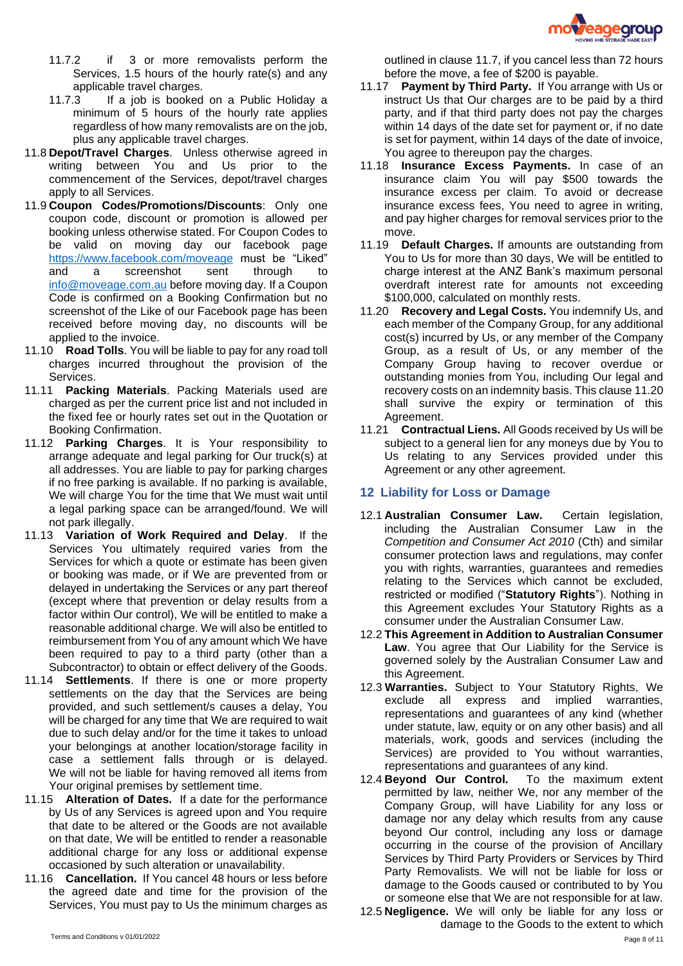

- 11.7.2 if 3 or more removalists perform the Services, 1.5 hours of the hourly rate(s) and any applicable travel charges.
- 11.7.3 If a job is booked on a Public Holiday a minimum of 5 hours of the hourly rate applies regardless of how many removalists are on the job, plus any applicable travel charges.
- 11.8 **Depot/Travel Charges**. Unless otherwise agreed in writing between You and Us prior to the commencement of the Services, depot/travel charges apply to all Services.
- 11.9 **Coupon Codes/Promotions/Discounts**: Only one coupon code, discount or promotion is allowed per booking unless otherwise stated. For Coupon Codes to be valid on moving day our facebook page <https://www.facebook.com/moveage> must be "Liked" and a screenshot sent through to [info@moveage.com.au](mailto:info@moveage.com.au) before moving day. If a Coupon Code is confirmed on a Booking Confirmation but no screenshot of the Like of our Facebook page has been received before moving day, no discounts will be applied to the invoice.
- 11.10 **Road Tolls**. You will be liable to pay for any road toll charges incurred throughout the provision of the Services.
- 11.11 **Packing Materials**. Packing Materials used are charged as per the current price list and not included in the fixed fee or hourly rates set out in the Quotation or Booking Confirmation.
- 11.12 **Parking Charges**. It is Your responsibility to arrange adequate and legal parking for Our truck(s) at all addresses. You are liable to pay for parking charges if no free parking is available. If no parking is available, We will charge You for the time that We must wait until a legal parking space can be arranged/found. We will not park illegally.
- 11.13 **Variation of Work Required and Delay**. If the Services You ultimately required varies from the Services for which a quote or estimate has been given or booking was made, or if We are prevented from or delayed in undertaking the Services or any part thereof (except where that prevention or delay results from a factor within Our control), We will be entitled to make a reasonable additional charge. We will also be entitled to reimbursement from You of any amount which We have been required to pay to a third party (other than a Subcontractor) to obtain or effect delivery of the Goods.
- 11.14 **Settlements**. If there is one or more property settlements on the day that the Services are being provided, and such settlement/s causes a delay, You will be charged for any time that We are required to wait due to such delay and/or for the time it takes to unload your belongings at another location/storage facility in case a settlement falls through or is delayed. We will not be liable for having removed all items from Your original premises by settlement time.
- 11.15 **Alteration of Dates.** If a date for the performance by Us of any Services is agreed upon and You require that date to be altered or the Goods are not available on that date, We will be entitled to render a reasonable additional charge for any loss or additional expense occasioned by such alteration or unavailability.
- 11.16 **Cancellation.** If You cancel 48 hours or less before the agreed date and time for the provision of the Services, You must pay to Us the minimum charges as
- 11.17 **Payment by Third Party.** If You arrange with Us or instruct Us that Our charges are to be paid by a third party, and if that third party does not pay the charges within 14 days of the date set for payment or, if no date is set for payment, within 14 days of the date of invoice, You agree to thereupon pay the charges.
- 11.18 **Insurance Excess Payments.** In case of an insurance claim You will pay \$500 towards the insurance excess per claim. To avoid or decrease insurance excess fees, You need to agree in writing, and pay higher charges for removal services prior to the move.
- 11.19 **Default Charges.** If amounts are outstanding from You to Us for more than 30 days, We will be entitled to charge interest at the ANZ Bank's maximum personal overdraft interest rate for amounts not exceeding \$100,000, calculated on monthly rests.
- <span id="page-7-1"></span>11.20 **Recovery and Legal Costs.** You indemnify Us, and each member of the Company Group, for any additional cost(s) incurred by Us, or any member of the Company Group, as a result of Us, or any member of the Company Group having to recover overdue or outstanding monies from You, including Our legal and recovery costs on an indemnity basis. This claus[e 11.20](#page-7-1) shall survive the expiry or termination of this Agreement.
- 11.21 **Contractual Liens.** All Goods received by Us will be subject to a general lien for any moneys due by You to Us relating to any Services provided under this Agreement or any other agreement.

# <span id="page-7-0"></span>**12 Liability for Loss or Damage**

- 12.1 **Australian Consumer Law.** Certain legislation, including the Australian Consumer Law in the *Competition and Consumer Act 2010* (Cth) and similar consumer protection laws and regulations, may confer you with rights, warranties, guarantees and remedies relating to the Services which cannot be excluded, restricted or modified ("**Statutory Rights**"). Nothing in this Agreement excludes Your Statutory Rights as a consumer under the Australian Consumer Law.
- 12.2 **This Agreement in Addition to Australian Consumer Law**. You agree that Our Liability for the Service is governed solely by the Australian Consumer Law and this Agreement.
- 12.3 **Warranties.** Subject to Your Statutory Rights, We exclude all express and implied warranties, representations and guarantees of any kind (whether under statute, law, equity or on any other basis) and all materials, work, goods and services (including the Services) are provided to You without warranties, representations and guarantees of any kind.
- 12.4 **Beyond Our Control.** To the maximum extent permitted by law, neither We, nor any member of the Company Group, will have Liability for any loss or damage nor any delay which results from any cause beyond Our control, including any loss or damage occurring in the course of the provision of Ancillary Services by Third Party Providers or Services by Third Party Removalists. We will not be liable for loss or damage to the Goods caused or contributed to by You or someone else that We are not responsible for at law.
- 12.5 **Negligence.** We will only be liable for any loss or damage to the Goods to the extent to which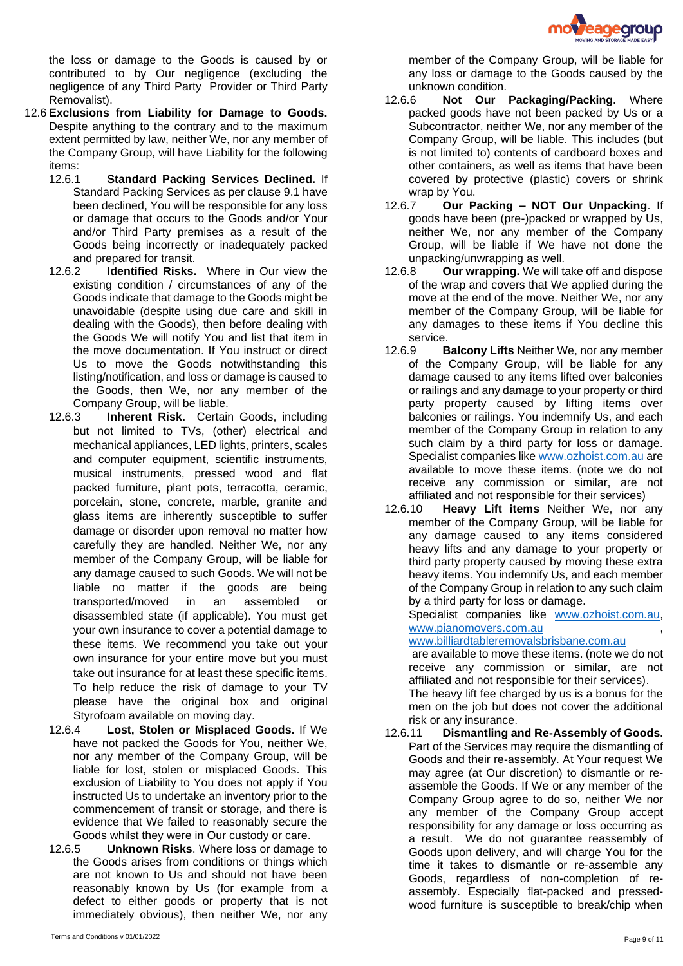

the loss or damage to the Goods is caused by or contributed to by Our negligence (excluding the negligence of any Third Party Provider or Third Party Removalist).

- 12.6 **Exclusions from Liability for Damage to Goods.** Despite anything to the contrary and to the maximum extent permitted by law, neither We, nor any member of the Company Group, will have Liability for the following items:
	- 12.6.1 **Standard Packing Services Declined.** If Standard Packing Services as per clause [9.1](#page-5-0) have been declined, You will be responsible for any loss or damage that occurs to the Goods and/or Your and/or Third Party premises as a result of the Goods being incorrectly or inadequately packed and prepared for transit.
	- 12.6.2 **Identified Risks.** Where in Our view the existing condition / circumstances of any of the Goods indicate that damage to the Goods might be unavoidable (despite using due care and skill in dealing with the Goods), then before dealing with the Goods We will notify You and list that item in the move documentation. If You instruct or direct Us to move the Goods notwithstanding this listing/notification, and loss or damage is caused to the Goods, then We, nor any member of the Company Group, will be liable.
	- 12.6.3 **Inherent Risk.** Certain Goods, including but not limited to TVs, (other) electrical and mechanical appliances, LED lights, printers, scales and computer equipment, scientific instruments, musical instruments, pressed wood and flat packed furniture, plant pots, terracotta, ceramic, porcelain, stone, concrete, marble, granite and glass items are inherently susceptible to suffer damage or disorder upon removal no matter how carefully they are handled. Neither We, nor any member of the Company Group, will be liable for any damage caused to such Goods. We will not be liable no matter if the goods are being transported/moved in an assembled or disassembled state (if applicable). You must get your own insurance to cover a potential damage to these items. We recommend you take out your own insurance for your entire move but you must take out insurance for at least these specific items. To help reduce the risk of damage to your TV please have the original box and original Styrofoam available on moving day.
	- 12.6.4 **Lost, Stolen or Misplaced Goods.** If We have not packed the Goods for You, neither We, nor any member of the Company Group, will be liable for lost, stolen or misplaced Goods. This exclusion of Liability to You does not apply if You instructed Us to undertake an inventory prior to the commencement of transit or storage, and there is evidence that We failed to reasonably secure the Goods whilst they were in Our custody or care.
	- 12.6.5 **Unknown Risks**. Where loss or damage to the Goods arises from conditions or things which are not known to Us and should not have been reasonably known by Us (for example from a defect to either goods or property that is not immediately obvious), then neither We, nor any

member of the Company Group, will be liable for any loss or damage to the Goods caused by the unknown condition.

- <span id="page-8-0"></span>12.6.6 **Not Our Packaging/Packing.** Where packed goods have not been packed by Us or a Subcontractor, neither We, nor any member of the Company Group, will be liable. This includes (but is not limited to) contents of cardboard boxes and other containers, as well as items that have been covered by protective (plastic) covers or shrink wrap by You.
- 12.6.7 **Our Packing – NOT Our Unpacking**. If goods have been (pre-)packed or wrapped by Us, neither We, nor any member of the Company Group, will be liable if We have not done the unpacking/unwrapping as well.
- 12.6.8 **Our wrapping.** We will take off and dispose of the wrap and covers that We applied during the move at the end of the move. Neither We, nor any member of the Company Group, will be liable for any damages to these items if You decline this service.
- 12.6.9 **Balcony Lifts** Neither We, nor any member of the Company Group, will be liable for any damage caused to any items lifted over balconies or railings and any damage to your property or third party property caused by lifting items over balconies or railings. You indemnify Us, and each member of the Company Group in relation to any such claim by a third party for loss or damage. Specialist companies lik[e www.ozhoist.com.au](http://www.ozhoist.com.au/) are available to move these items. (note we do not receive any commission or similar, are not affiliated and not responsible for their services)
- 12.6.10 **Heavy Lift items** Neither We, nor any member of the Company Group, will be liable for any damage caused to any items considered heavy lifts and any damage to your property or third party property caused by moving these extra heavy items. You indemnify Us, and each member of the Company Group in relation to any such claim by a third party for loss or damage.

Specialist companies like [www.ozhoist.com.au,](http://www.ozhoist.com.au/) [www.pianomovers.com.au](http://www.pianomovers.com.au/) ,

[www.billiardtableremovalsbrisbane.com.au](http://www.billiardtableremovalsbrisbane.com.au/)

are available to move these items. (note we do not receive any commission or similar, are not affiliated and not responsible for their services).

The heavy lift fee charged by us is a bonus for the men on the job but does not cover the additional risk or any insurance.

12.6.11 **Dismantling and Re-Assembly of Goods.**  Part of the Services may require the dismantling of Goods and their re-assembly. At Your request We may agree (at Our discretion) to dismantle or reassemble the Goods. If We or any member of the Company Group agree to do so, neither We nor any member of the Company Group accept responsibility for any damage or loss occurring as a result. We do not guarantee reassembly of Goods upon delivery, and will charge You for the time it takes to dismantle or re-assemble any Goods, regardless of non-completion of reassembly. Especially flat-packed and pressedwood furniture is susceptible to break/chip when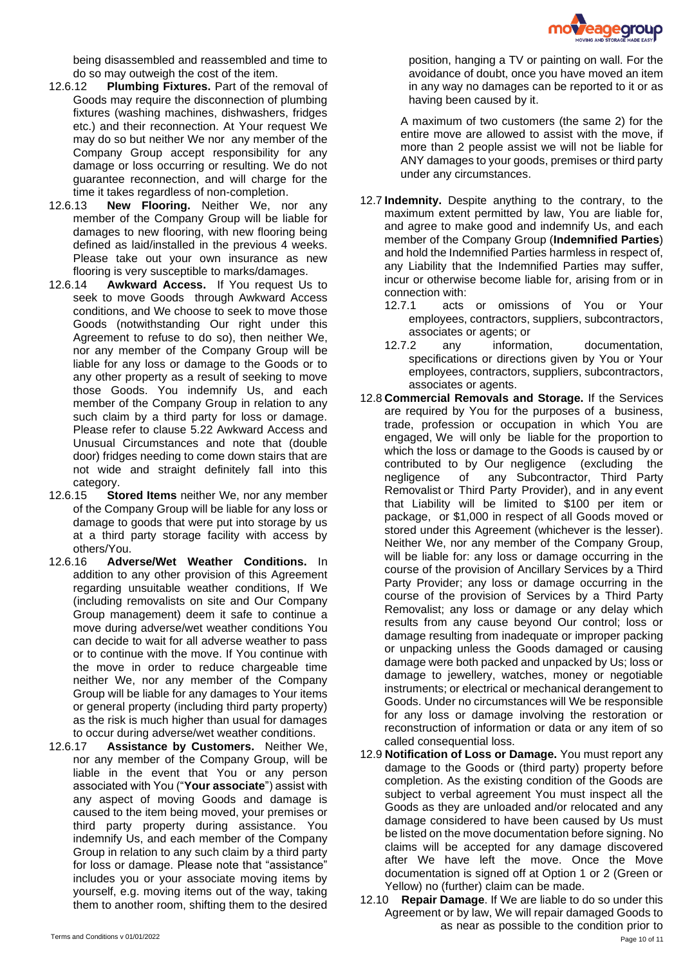

being disassembled and reassembled and time to do so may outweigh the cost of the item.

- 12.6.12 **Plumbing Fixtures.** Part of the removal of Goods may require the disconnection of plumbing fixtures (washing machines, dishwashers, fridges etc.) and their reconnection. At Your request We may do so but neither We nor any member of the Company Group accept responsibility for any damage or loss occurring or resulting. We do not guarantee reconnection, and will charge for the time it takes regardless of non-completion.
- 12.6.13 **New Flooring.** Neither We, nor any member of the Company Group will be liable for damages to new flooring, with new flooring being defined as laid/installed in the previous 4 weeks. Please take out your own insurance as new flooring is very susceptible to marks/damages.
- <span id="page-9-0"></span>12.6.14 **Awkward Access.** If You request Us to seek to move Goods through Awkward Access conditions, and We choose to seek to move those Goods (notwithstanding Our right under this Agreement to refuse to do so), then neither We, nor any member of the Company Group will be liable for any loss or damage to the Goods or to any other property as a result of seeking to move those Goods. You indemnify Us, and each member of the Company Group in relation to any such claim by a third party for loss or damage. Please refer to clause [5.22](#page-3-1) Awkward Access and Unusual Circumstances and note that (double door) fridges needing to come down stairs that are not wide and straight definitely fall into this category.
- 12.6.15 **Stored Items** neither We, nor any member of the Company Group will be liable for any loss or damage to goods that were put into storage by us at a third party storage facility with access by others/You.
- 12.6.16 **Adverse/Wet Weather Conditions.** In addition to any other provision of this Agreement regarding unsuitable weather conditions, If We (including removalists on site and Our Company Group management) deem it safe to continue a move during adverse/wet weather conditions You can decide to wait for all adverse weather to pass or to continue with the move. If You continue with the move in order to reduce chargeable time neither We, nor any member of the Company Group will be liable for any damages to Your items or general property (including third party property) as the risk is much higher than usual for damages to occur during adverse/wet weather conditions.
- 12.6.17 **Assistance by Customers.** Neither We, nor any member of the Company Group, will be liable in the event that You or any person associated with You ("**Your associate**") assist with any aspect of moving Goods and damage is caused to the item being moved, your premises or third party property during assistance. You indemnify Us, and each member of the Company Group in relation to any such claim by a third party for loss or damage. Please note that "assistance" includes you or your associate moving items by yourself, e.g. moving items out of the way, taking them to another room, shifting them to the desired

position, hanging a TV or painting on wall. For the avoidance of doubt, once you have moved an item in any way no damages can be reported to it or as having been caused by it.

A maximum of two customers (the same 2) for the entire move are allowed to assist with the move, if more than 2 people assist we will not be liable for ANY damages to your goods, premises or third party under any circumstances.

- 12.7 **Indemnity.** Despite anything to the contrary, to the maximum extent permitted by law, You are liable for, and agree to make good and indemnify Us, and each member of the Company Group (**Indemnified Parties**) and hold the Indemnified Parties harmless in respect of, any Liability that the Indemnified Parties may suffer, incur or otherwise become liable for, arising from or in connection with:
	- 12.7.1 acts or omissions of You or Your employees, contractors, suppliers, subcontractors, associates or agents; or
	- 12.7.2 any information, documentation, specifications or directions given by You or Your employees, contractors, suppliers, subcontractors, associates or agents.
- 12.8 **Commercial Removals and Storage.** If the Services are required by You for the purposes of a business, trade, profession or occupation in which You are engaged, We will only be liable for the proportion to which the loss or damage to the Goods is caused by or contributed to by Our negligence (excluding the negligence of any Subcontractor, Third Party Removalist or Third Party Provider), and in any event that Liability will be limited to \$100 per item or package, or \$1,000 in respect of all Goods moved or stored under this Agreement (whichever is the lesser). Neither We, nor any member of the Company Group, will be liable for: any loss or damage occurring in the course of the provision of Ancillary Services by a Third Party Provider; any loss or damage occurring in the course of the provision of Services by a Third Party Removalist; any loss or damage or any delay which results from any cause beyond Our control; loss or damage resulting from inadequate or improper packing or unpacking unless the Goods damaged or causing damage were both packed and unpacked by Us; loss or damage to jewellery, watches, money or negotiable instruments; or electrical or mechanical derangement to Goods. Under no circumstances will We be responsible for any loss or damage involving the restoration or reconstruction of information or data or any item of so called consequential loss.
- 12.9 **Notification of Loss or Damage.** You must report any damage to the Goods or (third party) property before completion. As the existing condition of the Goods are subject to verbal agreement You must inspect all the Goods as they are unloaded and/or relocated and any damage considered to have been caused by Us must be listed on the move documentation before signing. No claims will be accepted for any damage discovered after We have left the move. Once the Move documentation is signed off at Option 1 or 2 (Green or Yellow) no (further) claim can be made.
- Page 10 of 11 Terms and Conditions v 01/01/2022 12.10 **Repair Damage**. If We are liable to do so under this Agreement or by law, We will repair damaged Goods to as near as possible to the condition prior to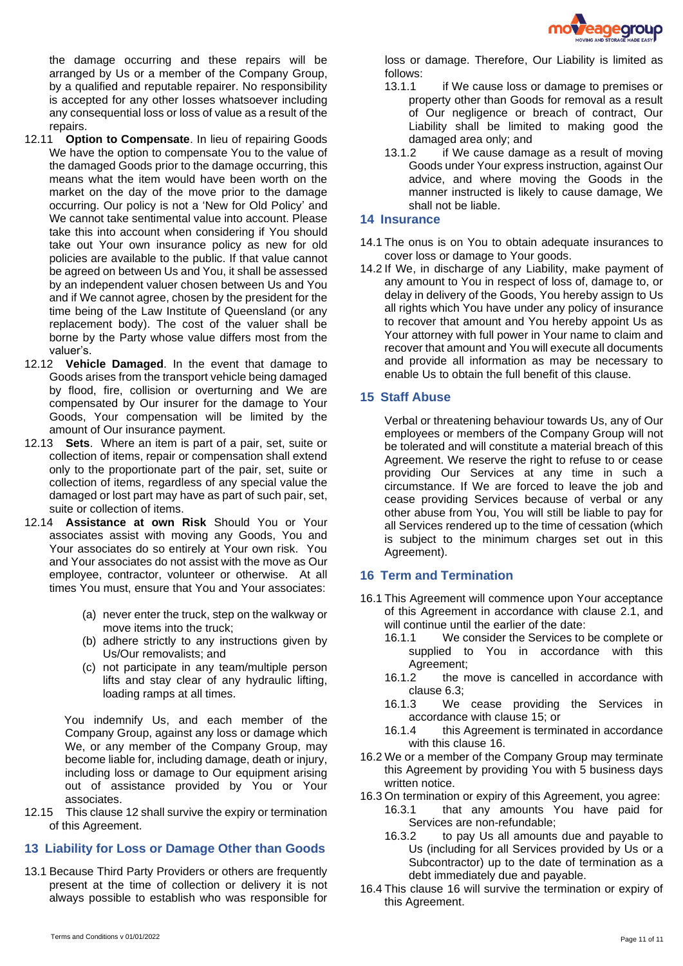

the damage occurring and these repairs will be arranged by Us or a member of the Company Group, by a qualified and reputable repairer. No responsibility is accepted for any other losses whatsoever including any consequential loss or loss of value as a result of the repairs.

- 12.11 **Option to Compensate**. In lieu of repairing Goods We have the option to compensate You to the value of the damaged Goods prior to the damage occurring, this means what the item would have been worth on the market on the day of the move prior to the damage occurring. Our policy is not a 'New for Old Policy' and We cannot take sentimental value into account. Please take this into account when considering if You should take out Your own insurance policy as new for old policies are available to the public. If that value cannot be agreed on between Us and You, it shall be assessed by an independent valuer chosen between Us and You and if We cannot agree, chosen by the president for the time being of the Law Institute of Queensland (or any replacement body). The cost of the valuer shall be borne by the Party whose value differs most from the valuer's.
- 12.12 **Vehicle Damaged**. In the event that damage to Goods arises from the transport vehicle being damaged by flood, fire, collision or overturning and We are compensated by Our insurer for the damage to Your Goods, Your compensation will be limited by the amount of Our insurance payment.
- 12.13 **Sets**. Where an item is part of a pair, set, suite or collection of items, repair or compensation shall extend only to the proportionate part of the pair, set, suite or collection of items, regardless of any special value the damaged or lost part may have as part of such pair, set, suite or collection of items.
- 12.14 **Assistance at own Risk** Should You or Your associates assist with moving any Goods, You and Your associates do so entirely at Your own risk. You and Your associates do not assist with the move as Our employee, contractor, volunteer or otherwise. At all times You must, ensure that You and Your associates:
	- (a) never enter the truck, step on the walkway or move items into the truck;
	- (b) adhere strictly to any instructions given by Us/Our removalists; and
	- (c) not participate in any team/multiple person lifts and stay clear of any hydraulic lifting, loading ramps at all times.

You indemnify Us, and each member of the Company Group, against any loss or damage which We, or any member of the Company Group, may become liable for, including damage, death or injury, including loss or damage to Our equipment arising out of assistance provided by You or Your associates.

12.15 This claus[e 12](#page-7-0) shall survive the expiry or termination of this Agreement.

# **13 Liability for Loss or Damage Other than Goods**

13.1 Because Third Party Providers or others are frequently present at the time of collection or delivery it is not always possible to establish who was responsible for

- 13.1.1 if We cause loss or damage to premises or property other than Goods for removal as a result of Our negligence or breach of contract, Our Liability shall be limited to making good the damaged area only; and
- 13.1.2 if We cause damage as a result of moving Goods under Your express instruction, against Our advice, and where moving the Goods in the manner instructed is likely to cause damage, We shall not be liable.

# **14 Insurance**

- 14.1 The onus is on You to obtain adequate insurances to cover loss or damage to Your goods.
- 14.2 If We, in discharge of any Liability, make payment of any amount to You in respect of loss of, damage to, or delay in delivery of the Goods, You hereby assign to Us all rights which You have under any policy of insurance to recover that amount and You hereby appoint Us as Your attorney with full power in Your name to claim and recover that amount and You will execute all documents and provide all information as may be necessary to enable Us to obtain the full benefit of this clause.

# <span id="page-10-0"></span>**15 Staff Abuse**

Verbal or threatening behaviour towards Us, any of Our employees or members of the Company Group will not be tolerated and will constitute a material breach of this Agreement. We reserve the right to refuse to or cease providing Our Services at any time in such a circumstance. If We are forced to leave the job and cease providing Services because of verbal or any other abuse from You, You will still be liable to pay for all Services rendered up to the time of cessation (which is subject to the minimum charges set out in this Agreement).

# <span id="page-10-1"></span>**16 Term and Termination**

- 16.1 This Agreement will commence upon Your acceptance of this Agreement in accordance with clause [2.1,](#page-1-0) and will continue until the earlier of the date:
	- 16.1.1 We consider the Services to be complete or supplied to You in accordance with this Agreement;
	- 16.1.2 the move is cancelled in accordance with clause [6.3;](#page-4-0)
	- 16.1.3 We cease providing the Services in accordance with clause [15;](#page-10-0) or
	- 16.1.4 this Agreement is terminated in accordance with this clause [16.](#page-10-1)
- 16.2 We or a member of the Company Group may terminate this Agreement by providing You with 5 business days written notice.
- 16.3 On termination or expiry of this Agreement, you agree:
	- 16.3.1 that any amounts You have paid for Services are non-refundable;
		- 16.3.2 to pay Us all amounts due and payable to Us (including for all Services provided by Us or a Subcontractor) up to the date of termination as a debt immediately due and payable.
- <span id="page-10-2"></span>16.4 This clause [16](#page-10-1) will survive the termination or expiry of this Agreement.